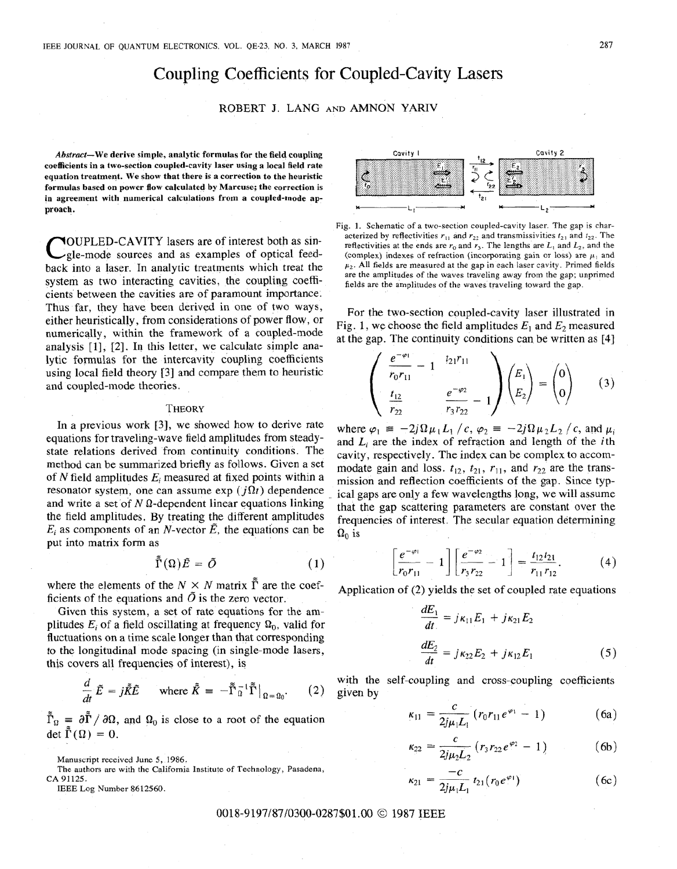# Coupling Coefficients for Coupled-Cavity Lasers

# ROBERT J. LANG **AND** AMNON YARIV

**Abstract-We derive simple, analytic formulas for the field coupling coefficients in a two-section coupled-cavity laser using a local field rate equation treatment. We show that there is a correction to the heuristic formulas based on power flow calculated by Marcuse; the correction is in agreement with numerical calculations from a coupled-mode approach.** 

COUPLED-CAVITY lasers are of interest both as sin-<br>gle-mode sources and as examples of optical feed-<br>the blue-transfer optical feedback into a laser. In analytic treatments which treat the system as two interacting cavities, the coupling coefficients between the cavities are of paramount importance. Thus far, they have been derived in one of two ways, either heuristically, from considerations of power flow, or numerically, within the framework of **a** coupled-mode analysis [1], [2]. In this letter, we calculate simple analytic formulas for the intercavity coupling coefficients using local field theory [3] and compare them to heuristic and coupled-mode theories.

#### **THEORY**

In a previous work [3], we showed how to derive rate equations for traveling-wave field amplitudes from steadystate relations derived from continuity conditions. The method can be summarized briefly as follows. Given a set of *N* field amplitudes *Ei* measured at fixed points within a resonator system, one can assume exp ( $i\Omega t$ ) dependence and write a set of  $N \Omega$ -dependent linear equations linking the field amplitudes. By treating the different amplitudes  $E_i$  as components of an *N*-vector  $\tilde{E}$ , the equations can be put into matrix form as

$$
\tilde{\Gamma}(\Omega)\tilde{E} = \tilde{O} \tag{1}
$$

where the elements of the  $N \times N$  matrix  $\tilde{\Gamma}$  are the coefficients of the equations and  $\tilde{O}$  is the zero vector.

Given this system, a set of rate equations for the amplitudes  $E_i$  of a field oscillating at frequency  $\Omega_0$ , valid for fluctuations on a time scale longer than that corresponding to the longitudinal mode spacing (in single-mode lasers, this covers all frequencies of interest), is

$$
\frac{d}{dt}\tilde{E} = j\tilde{K}\tilde{E} \quad \text{where } \tilde{K} = -\tilde{\Gamma}_{\Omega}^{-1}\tilde{\Gamma}\big|_{\Omega = \Omega_0}.
$$
 (2)

 $\tilde{\Gamma}_0 = \partial \tilde{\Gamma} / \partial \Omega$ , and  $\Omega_0$  is close to a root of the equation det  $\tilde{\Gamma}(\Omega) = 0$ .

Manuscript received June *5,* 1986.

The authors are with the California Institute of Technology, Pasadena,

**CA** 91125.

IEEE Log Number 8612560.



Fig. **1.** Schematic of a two-section coupled-cavity laser. The gap is characterized by reflectivities  $r_1$  and  $r_2$  and transmissivities  $t_{21}$  and  $t_{22}$ . The reflectivities at the ends are  $r_0$  and  $r_3$ . The lengths are  $L_1$  and  $L_2$ , and the (complex) indexes of refraction (incorporating gain or loss) are  $\mu_1$  and  $\mu_2$ . All fields are measured at the gap in each laser cavity. Primed fields are the amplitudes of the waves traveling away from the gap; unprimed fields are the amplitudes of the waves traveling toward the gap.

For the two-section coupled-cavity laser illustrated in Fig. 1, we choose the field amplitudes  $E_1$  and  $E_2$  measured at the gap. The continuity conditions can be written as **[4]** 

$$
\begin{pmatrix}\n\frac{e^{-\varphi_1}}{r_0 r_{11}} - 1 & t_{21} r_{11} \\
\frac{t_{12}}{r_{22}} & \frac{e^{-\varphi_2}}{r_3 r_{22}} - 1\n\end{pmatrix}\n\begin{pmatrix}\nE_1 \\
E_2\n\end{pmatrix} = \begin{pmatrix}\n0 \\
0\n\end{pmatrix}
$$
\n(3)

where  $\varphi_1 = -2j\Omega \mu_1 L_1 / c$ ,  $\varphi_2 = -2j\Omega \mu_2 L_2 / c$ , and  $\mu_i$ and Li are the index of refraction and length of the *i* th cavity, respectively. The index can be complex to accommodate gain and loss.  $t_{12}$ ,  $t_{21}$ ,  $r_{11}$ , and  $r_{22}$  are the transmission and reflection coefficients of the gap. Since typical gaps are only a few wavelengths long, we will assume that the gap scattering parameters are constant over the frequencies of interest. The secular equation determining  $\Omega_0$  is

$$
\left[\frac{e^{-\varphi_1}}{r_0r_{11}}-1\right]\left[\frac{e^{-\varphi_2}}{r_3r_{22}}-1\right]=\frac{t_{12}t_{21}}{r_{11}r_{12}}.\hspace{1cm} (4)
$$

Application of (2) yields the set of coupled rate equations

$$
\frac{dE_1}{dt} = j\kappa_{11}E_1 + j\kappa_{21}E_2
$$
  

$$
\frac{dE_2}{dt} = j\kappa_{22}E_2 + j\kappa_{12}E_1
$$
 (5)

with the self-coupling and cross-coupling coefficients given by

$$
\kappa_{11} = \frac{c}{2j\mu_1 L_1} \left( r_0 r_{11} e^{\varphi_1} - 1 \right) \tag{6a}
$$

$$
\kappa_{22} = \frac{c}{2j\mu_2 L_2} \left( r_3 r_{22} e^{\varphi_2} - 1 \right) \tag{6b}
$$

$$
x_{21} = \frac{-c}{2j\mu_1 L_1} t_{21} (r_0 e^{\varphi_1})
$$
 (6c)

## 0018-9197/87/0300-0287\$01 .OO *O* 1987 IEEE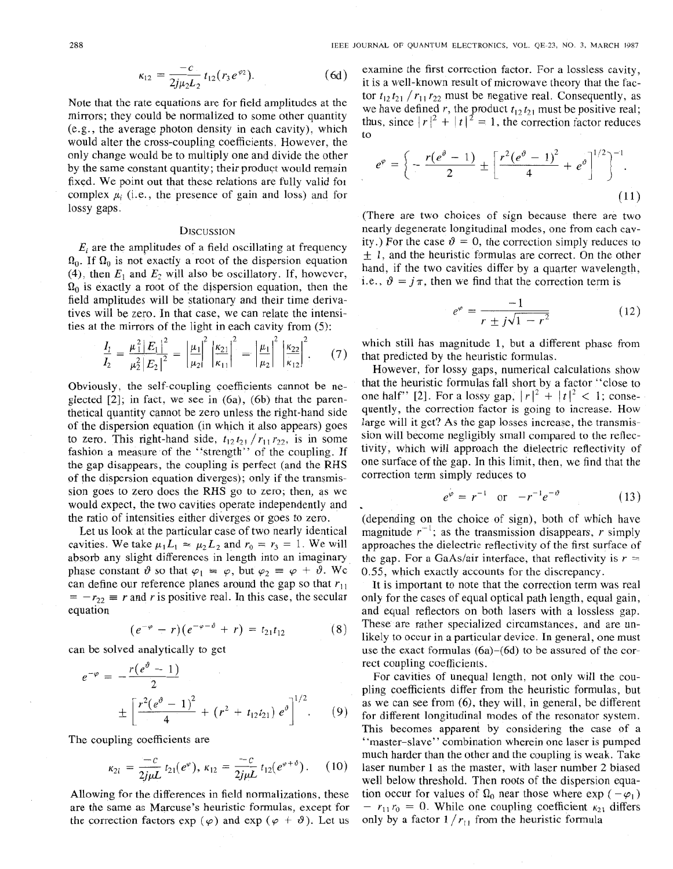$$
\kappa_{12} = \frac{-c}{2j\mu_2 L_2} t_{12}(r_3 e^{\varphi_2}). \tag{6d}
$$

Note that the rate equations are for field amplitudes at the mirrors; they could be normalized to some other quantity (e.g., the average photon density in each cavity), which would alter the cross-coupling coefficients. However, the only change would be to multiply one and divide the other by the same constant quantity; their product would remain fixed. We point out that these relations are fully valid fol complex  $\mu$ , (i.e., the presence of gain and loss) and for lossy gaps.

## **DISCUSSION**

 $E_i$  are the amplitudes of a field oscillating at frequency  $\Omega_0$ . If  $\Omega_0$  is not exactly a root of the dispersion equation (4), then  $E_1$  and  $E_2$  will also be oscillatory. If, however,  $\Omega_0$  is exactly a root of the dispersion equation, then the field amplitudes will be stationary and their time derivatives will be zero. In that case, we can relate the intensities at the mirrors of the light in each cavity from *(5):* 

$$
\frac{I_1}{I_2} = \frac{\mu_1^2 |E_1|^2}{\mu_2^2 |E_2|^2} = \left| \frac{\mu_1}{\mu_2} \right|^2 \left| \frac{\kappa_{21}}{\kappa_{11}} \right|^2 = \left| \frac{\mu_1}{\mu_2} \right|^2 \left| \frac{\kappa_{22}}{\kappa_{12}} \right|^2, \qquad (7)
$$

Obviously, the self-coupling coefficients cannot be neglected *[2];* in fact, we see in (6a), (6b) that the parenthetical quantity cannot be zero unless the right-hand side of the dispersion equation (in which it also appears) goes to zero. This right-hand side,  $t_{12}t_{21}/r_{11}r_{22}$ , is in some fashion a measure of the "strength" of the coupling. If the gap disappears, the coupling is perfect (and the **RHS**  of the dispersion equation diverges); only if the transmission goes to zero does the RHS go to zero; then, **as** we would expect, the two cavities operate independently and the ratio of intensities either diverges or goes to zero.

Let us look at the particular case of two nearly identical cavities. We take  $\mu_1 L_1 \approx \mu_2 L_2$  and  $r_0 = r_3 = 1$ . We will absorb any slight differences in length into an imaginary phase constant  $\vartheta$  so that  $\varphi_1 \equiv \varphi$ , but  $\varphi_2 \equiv \varphi + \vartheta$ . We can define our reference planes around the gap so that  $r_{11} = -r_{22} \equiv r$  and r is positive real. In this case, the secular equation

$$
(e^{-\varphi} - r)(e^{-\varphi - \vartheta} + r) = t_{21}t_{12} \qquad (8)
$$

can be solved analytically to get

$$
e^{-\varphi} = -\frac{r(e^{\vartheta} - 1)}{2}
$$
  

$$
\pm \left[ \frac{r^2(e^{\vartheta} - 1)^2}{4} + (r^2 + t_{12}t_{21}) e^{\vartheta} \right]^{1/2}.
$$
 (9)

The coupling coefficients are

$$
\kappa_{21} = \frac{-c}{2j\mu L} t_{21}(e^{\varphi}), \ \kappa_{12} = \frac{-c}{2j\mu L} t_{12}(e^{\varphi+\vartheta}). \qquad (10)
$$

Allowing for the differences in field normalizations, these are the same as Marcuse's heuristic formulas, except for the correction factors  $\exp(\varphi)$  and  $\exp(\varphi + \vartheta)$ . Let us examine the first correction factor. For a lossless cavity, it is a well-known result of microwave theory that the factor  $t_{12} t_{21} / r_{11} r_{22}$  must be negative real. Consequently, as we have defined r, the product  $t_{12} t_{21}$  must be positive real; thus, since  $|r|^2 + |t|^2 = 1$ , the correction factor reduces to

$$
e^{\varphi} = \left\{ -\frac{r(e^{\vartheta}-1)}{2} \pm \left[ \frac{r^2(e^{\vartheta}-1)^2}{4} + e^{\vartheta} \right]^{1/2} \right\}^{-1}.
$$
\n(11)

(There are two choices of sign because there are two nearly degenerate longitudinal modes, one from each cavity.) For the case  $\vartheta = 0$ , the correction simply reduces to  $\pm$  1, and the heuristic formulas are correct. On the other hand, if the two cavities differ by a quarter wavelength, i.e.,  $\vartheta = i\pi$ , then we find that the correction term is

$$
e^{\varphi} = \frac{-1}{r \pm j\sqrt{1 - r^2}}\tag{12}
$$

which still has magnitude 1, but a different phase from that predicted by the heuristic formulas.

However, for lossy gaps, numerical calculations show that the heuristic formulas fall short by a factor "close to one half" [2]. For a lossy gap,  $|r|^2 + |t|^2 < 1$ ; consequently, the correction factor is going to increase. How large will it get? As the gap losses increase, the transmission will become negligibly small compared to the reflectivity, which will approach the dielectric reflectivity of one surface of the gap. In this limit, then, we find that the correction term simply reduces to

$$
e^{\varphi} = r^{-1}
$$
 or  $-r^{-1}e^{-\vartheta}$  (13)

(depending on the choice of sign), both of which have magnitude  $r^{-1}$ ; as the transmission disappears, *r* simply approaches the dielectric reflectivity of the first surface of the gap. For a GaAs/air interface, that reflectivity is  $r =$ 0.55, which exactly accounts for the discrepancy.

It is important to note that the correction term was real only for the cases of equal optical path length, equal gain, and equal reflectors on both lasers with a lossless gap. These are rather specialized circumstances, and are unlikely to occur in a particular device. In general, one must use the exact formulas (6a)-(6d) to be assured of the correct coupling coefficients.

For cavities of unequal length, not only will the coupling coefficients differ from the heuristic formulas, but as we can see from (6), they will, in general, be different for different longitudinal modes of the resonator system. This becomes apparent by considering the case of a "master-slave'' combination wherein one laser is pumped much harder than the other and the coupling is weak. Take laser number 1 as the master, with laser number 2 biased well below threshold. Then roots of the dispersion equation occur for values of  $\Omega_0$  near those where exp ( $-\varphi_1$ )  $r_1 r_0 = 0$ . While one coupling coefficient  $\kappa_{21}$  differs only by a factor  $1/r_{11}$  from the heuristic formula